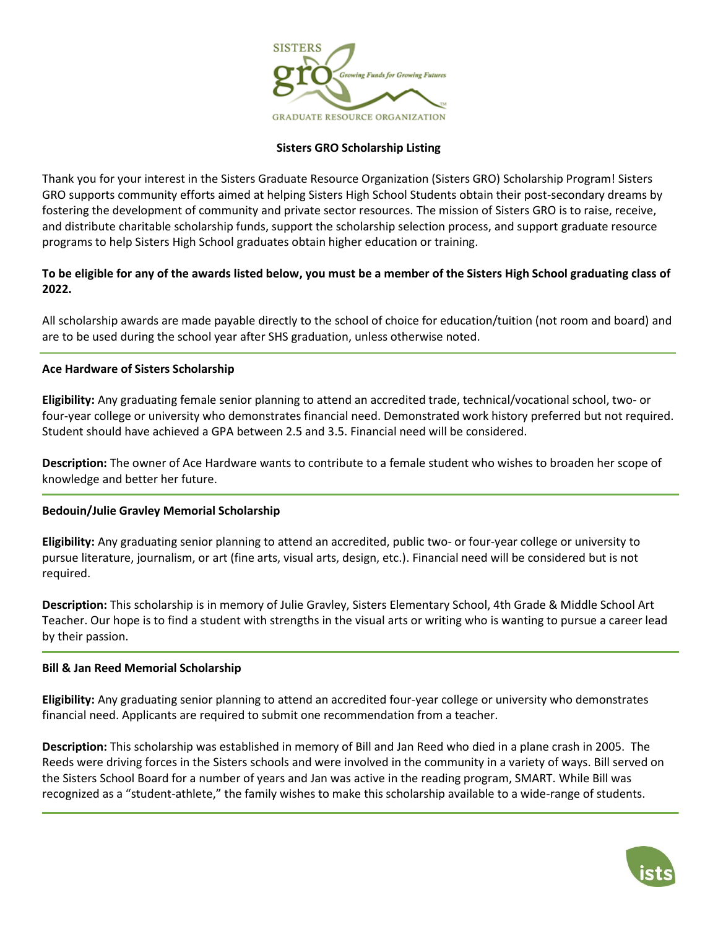

# **Sisters GRO Scholarship Listing**

Thank you for your interest in the Sisters Graduate Resource Organization (Sisters GRO) Scholarship Program! Sisters GRO supports community efforts aimed at helping Sisters High School Students obtain their post-secondary dreams by fostering the development of community and private sector resources. The mission of Sisters GRO is to raise, receive, and distribute charitable scholarship funds, support the scholarship selection process, and support graduate resource programs to help Sisters High School graduates obtain higher education or training.

# **To be eligible for any of the awards listed below, you must be a member of the Sisters High School graduating class of 2022.**

All scholarship awards are made payable directly to the school of choice for education/tuition (not room and board) and are to be used during the school year after SHS graduation, unless otherwise noted.

## **Ace Hardware of Sisters Scholarship**

**Eligibility:** Any graduating female senior planning to attend an accredited trade, technical/vocational school, two- or four-year college or university who demonstrates financial need. Demonstrated work history preferred but not required. Student should have achieved a GPA between 2.5 and 3.5. Financial need will be considered.

**Description:** The owner of Ace Hardware wants to contribute to a female student who wishes to broaden her scope of knowledge and better her future.

#### **Bedouin/Julie Gravley Memorial Scholarship**

**Eligibility:** Any graduating senior planning to attend an accredited, public two- or four-year college or university to pursue literature, journalism, or art (fine arts, visual arts, design, etc.). Financial need will be considered but is not required.

**Description:** This scholarship is in memory of Julie Gravley, Sisters Elementary School, 4th Grade & Middle School Art Teacher. Our hope is to find a student with strengths in the visual arts or writing who is wanting to pursue a career lead by their passion.

#### **Bill & Jan Reed Memorial Scholarship**

**Eligibility:** Any graduating senior planning to attend an accredited four-year college or university who demonstrates financial need. Applicants are required to submit one recommendation from a teacher.

**Description:** This scholarship was established in memory of Bill and Jan Reed who died in a plane crash in 2005. The Reeds were driving forces in the Sisters schools and were involved in the community in a variety of ways. Bill served on the Sisters School Board for a number of years and Jan was active in the reading program, SMART. While Bill was recognized as a "student-athlete," the family wishes to make this scholarship available to a wide-range of students.

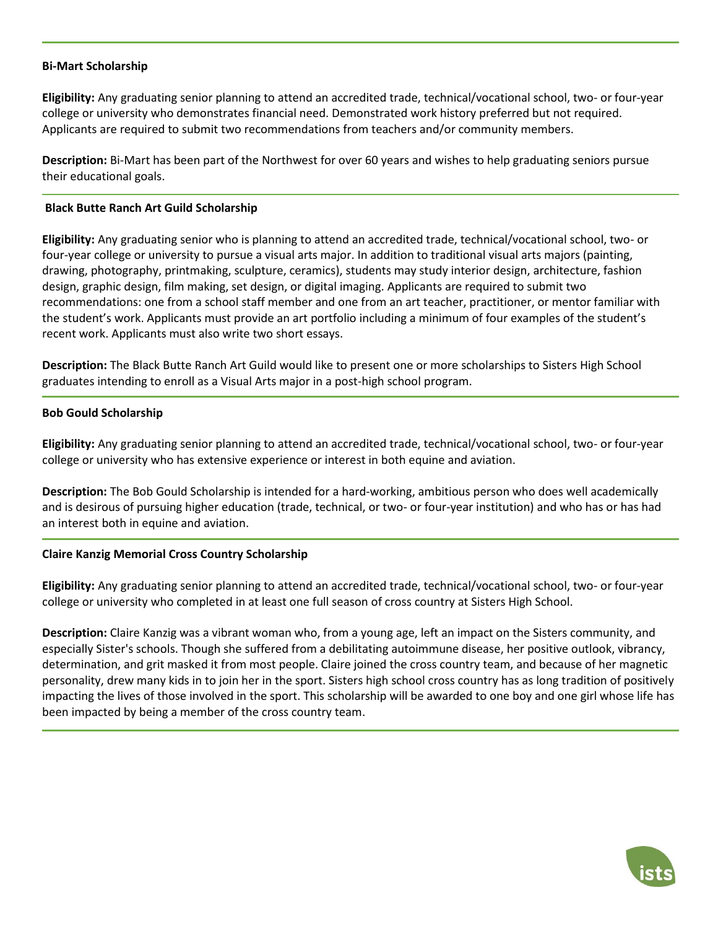## **Bi-Mart Scholarship**

**Eligibility:** Any graduating senior planning to attend an accredited trade, technical/vocational school, two- or four-year college or university who demonstrates financial need. Demonstrated work history preferred but not required. Applicants are required to submit two recommendations from teachers and/or community members.

**Description:** Bi-Mart has been part of the Northwest for over 60 years and wishes to help graduating seniors pursue their educational goals.

## **Black Butte Ranch Art Guild Scholarship**

**Eligibility:** Any graduating senior who is planning to attend an accredited trade, technical/vocational school, two- or four-year college or university to pursue a visual arts major. In addition to traditional visual arts majors (painting, drawing, photography, printmaking, sculpture, ceramics), students may study interior design, architecture, fashion design, graphic design, film making, set design, or digital imaging. Applicants are required to submit two recommendations: one from a school staff member and one from an art teacher, practitioner, or mentor familiar with the student's work. Applicants must provide an art portfolio including a minimum of four examples of the student's recent work. Applicants must also write two short essays.

**Description:** The Black Butte Ranch Art Guild would like to present one or more scholarships to Sisters High School graduates intending to enroll as a Visual Arts major in a post-high school program.

### **Bob Gould Scholarship**

**Eligibility:** Any graduating senior planning to attend an accredited trade, technical/vocational school, two- or four-year college or university who has extensive experience or interest in both equine and aviation.

**Description:** The Bob Gould Scholarship is intended for a hard-working, ambitious person who does well academically and is desirous of pursuing higher education (trade, technical, or two- or four-year institution) and who has or has had an interest both in equine and aviation.

## **Claire Kanzig Memorial Cross Country Scholarship**

**Eligibility:** Any graduating senior planning to attend an accredited trade, technical/vocational school, two- or four-year college or university who completed in at least one full season of cross country at Sisters High School.

**Description:** Claire Kanzig was a vibrant woman who, from a young age, left an impact on the Sisters community, and especially Sister's schools. Though she suffered from a debilitating autoimmune disease, her positive outlook, vibrancy, determination, and grit masked it from most people. Claire joined the cross country team, and because of her magnetic personality, drew many kids in to join her in the sport. Sisters high school cross country has as long tradition of positively impacting the lives of those involved in the sport. This scholarship will be awarded to one boy and one girl whose life has been impacted by being a member of the cross country team.

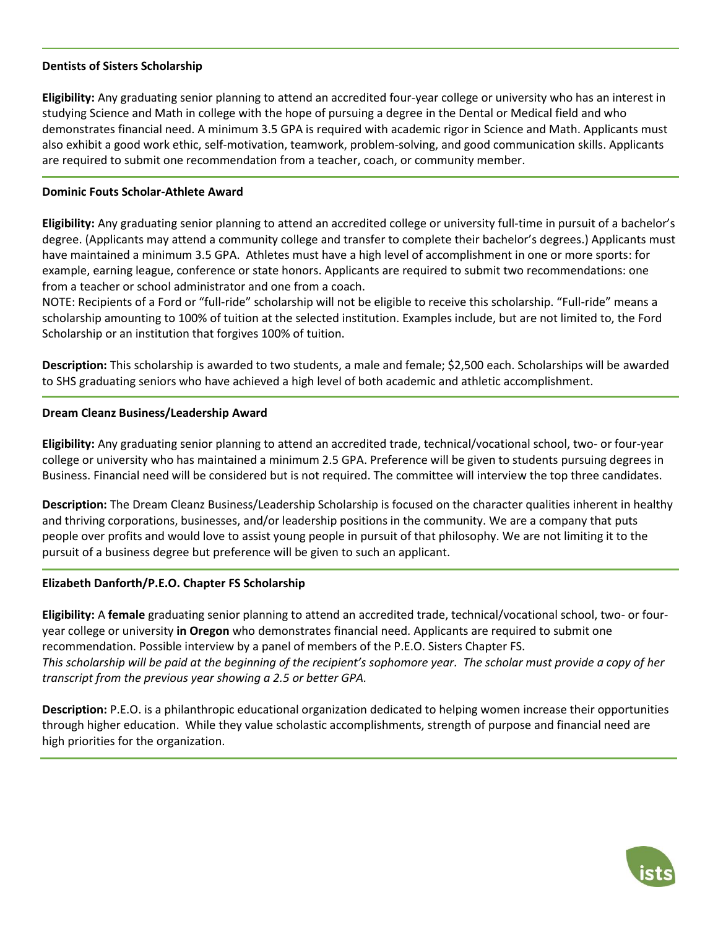## **Dentists of Sisters Scholarship**

**Eligibility:** Any graduating senior planning to attend an accredited four-year college or university who has an interest in studying Science and Math in college with the hope of pursuing a degree in the Dental or Medical field and who demonstrates financial need. A minimum 3.5 GPA is required with academic rigor in Science and Math. Applicants must also exhibit a good work ethic, self-motivation, teamwork, problem-solving, and good communication skills. Applicants are required to submit one recommendation from a teacher, coach, or community member.

### **Dominic Fouts Scholar-Athlete Award**

**Eligibility:** Any graduating senior planning to attend an accredited college or university full-time in pursuit of a bachelor's degree. (Applicants may attend a community college and transfer to complete their bachelor's degrees.) Applicants must have maintained a minimum 3.5 GPA. Athletes must have a high level of accomplishment in one or more sports: for example, earning league, conference or state honors. Applicants are required to submit two recommendations: one from a teacher or school administrator and one from a coach.

NOTE: Recipients of a Ford or "full-ride" scholarship will not be eligible to receive this scholarship. "Full-ride" means a scholarship amounting to 100% of tuition at the selected institution. Examples include, but are not limited to, the Ford Scholarship or an institution that forgives 100% of tuition.

**Description:** This scholarship is awarded to two students, a male and female; \$2,500 each. Scholarships will be awarded to SHS graduating seniors who have achieved a high level of both academic and athletic accomplishment.

### **Dream Cleanz Business/Leadership Award**

**Eligibility:** Any graduating senior planning to attend an accredited trade, technical/vocational school, two- or four-year college or university who has maintained a minimum 2.5 GPA. Preference will be given to students pursuing degrees in Business. Financial need will be considered but is not required. The committee will interview the top three candidates.

**Description:** The Dream Cleanz Business/Leadership Scholarship is focused on the character qualities inherent in healthy and thriving corporations, businesses, and/or leadership positions in the community. We are a company that puts people over profits and would love to assist young people in pursuit of that philosophy. We are not limiting it to the pursuit of a business degree but preference will be given to such an applicant.

## **Elizabeth Danforth/P.E.O. Chapter FS Scholarship**

**Eligibility:** A **female** graduating senior planning to attend an accredited trade, technical/vocational school, two- or fouryear college or university **in Oregon** who demonstrates financial need. Applicants are required to submit one recommendation. Possible interview by a panel of members of the P.E.O. Sisters Chapter FS. *This scholarship will be paid at the beginning of the recipient's sophomore year. The scholar must provide a copy of her transcript from the previous year showing a 2.5 or better GPA.*

**Description:** P.E.O. is a philanthropic educational organization dedicated to helping women increase their opportunities through higher education. While they value scholastic accomplishments, strength of purpose and financial need are high priorities for the organization.

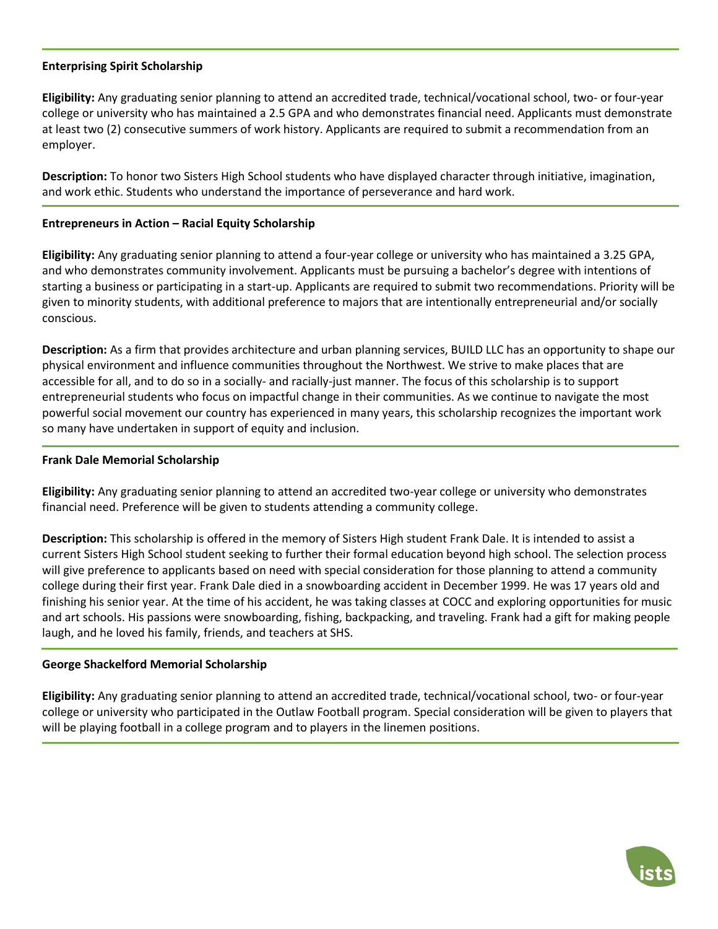## **Enterprising Spirit Scholarship**

**Eligibility:** Any graduating senior planning to attend an accredited trade, technical/vocational school, two- or four-year college or university who has maintained a 2.5 GPA and who demonstrates financial need. Applicants must demonstrate at least two (2) consecutive summers of work history. Applicants are required to submit a recommendation from an employer.

**Description:** To honor two Sisters High School students who have displayed character through initiative, imagination, and work ethic. Students who understand the importance of perseverance and hard work.

## **Entrepreneurs in Action – Racial Equity Scholarship**

**Eligibility:** Any graduating senior planning to attend a four-year college or university who has maintained a 3.25 GPA, and who demonstrates community involvement. Applicants must be pursuing a bachelor's degree with intentions of starting a business or participating in a start-up. Applicants are required to submit two recommendations. Priority will be given to minority students, with additional preference to majors that are intentionally entrepreneurial and/or socially conscious.

**Description:** As a firm that provides architecture and urban planning services, BUILD LLC has an opportunity to shape our physical environment and influence communities throughout the Northwest. We strive to make places that are accessible for all, and to do so in a socially- and racially-just manner. The focus of this scholarship is to support entrepreneurial students who focus on impactful change in their communities. As we continue to navigate the most powerful social movement our country has experienced in many years, this scholarship recognizes the important work so many have undertaken in support of equity and inclusion.

#### **Frank Dale Memorial Scholarship**

**Eligibility:** Any graduating senior planning to attend an accredited two-year college or university who demonstrates financial need. Preference will be given to students attending a community college.

**Description:** This scholarship is offered in the memory of Sisters High student Frank Dale. It is intended to assist a current Sisters High School student seeking to further their formal education beyond high school. The selection process will give preference to applicants based on need with special consideration for those planning to attend a community college during their first year. Frank Dale died in a snowboarding accident in December 1999. He was 17 years old and finishing his senior year. At the time of his accident, he was taking classes at COCC and exploring opportunities for music and art schools. His passions were snowboarding, fishing, backpacking, and traveling. Frank had a gift for making people laugh, and he loved his family, friends, and teachers at SHS.

## **George Shackelford Memorial Scholarship**

**Eligibility:** Any graduating senior planning to attend an accredited trade, technical/vocational school, two- or four-year college or university who participated in the Outlaw Football program. Special consideration will be given to players that will be playing football in a college program and to players in the linemen positions.

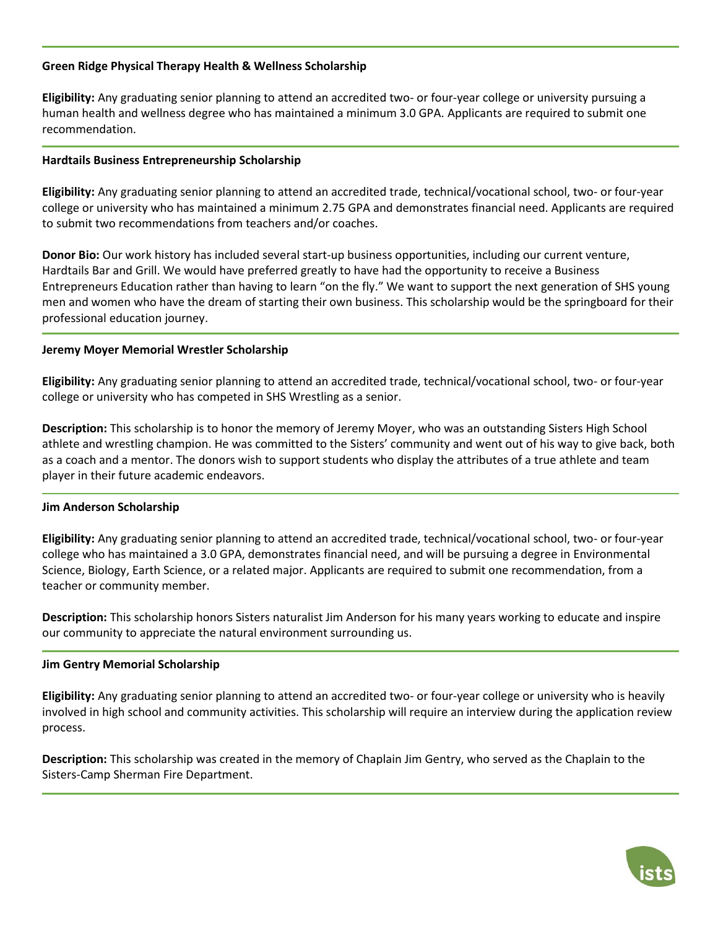# **Green Ridge Physical Therapy Health & Wellness Scholarship**

**Eligibility:** Any graduating senior planning to attend an accredited two- or four-year college or university pursuing a human health and wellness degree who has maintained a minimum 3.0 GPA. Applicants are required to submit one recommendation.

## **Hardtails Business Entrepreneurship Scholarship**

**Eligibility:** Any graduating senior planning to attend an accredited trade, technical/vocational school, two- or four-year college or university who has maintained a minimum 2.75 GPA and demonstrates financial need. Applicants are required to submit two recommendations from teachers and/or coaches.

**Donor Bio:** Our work history has included several start-up business opportunities, including our current venture, Hardtails Bar and Grill. We would have preferred greatly to have had the opportunity to receive a Business Entrepreneurs Education rather than having to learn "on the fly." We want to support the next generation of SHS young men and women who have the dream of starting their own business. This scholarship would be the springboard for their professional education journey.

## **Jeremy Moyer Memorial Wrestler Scholarship**

**Eligibility:** Any graduating senior planning to attend an accredited trade, technical/vocational school, two- or four-year college or university who has competed in SHS Wrestling as a senior.

**Description:** This scholarship is to honor the memory of Jeremy Moyer, who was an outstanding Sisters High School athlete and wrestling champion. He was committed to the Sisters' community and went out of his way to give back, both as a coach and a mentor. The donors wish to support students who display the attributes of a true athlete and team player in their future academic endeavors.

## **Jim Anderson Scholarship**

**Eligibility:** Any graduating senior planning to attend an accredited trade, technical/vocational school, two- or four-year college who has maintained a 3.0 GPA, demonstrates financial need, and will be pursuing a degree in Environmental Science, Biology, Earth Science, or a related major. Applicants are required to submit one recommendation, from a teacher or community member.

**Description:** This scholarship honors Sisters naturalist Jim Anderson for his many years working to educate and inspire our community to appreciate the natural environment surrounding us.

## **Jim Gentry Memorial Scholarship**

**Eligibility:** Any graduating senior planning to attend an accredited two- or four-year college or university who is heavily involved in high school and community activities. This scholarship will require an interview during the application review process.

**Description:** This scholarship was created in the memory of Chaplain Jim Gentry, who served as the Chaplain to the Sisters-Camp Sherman Fire Department.

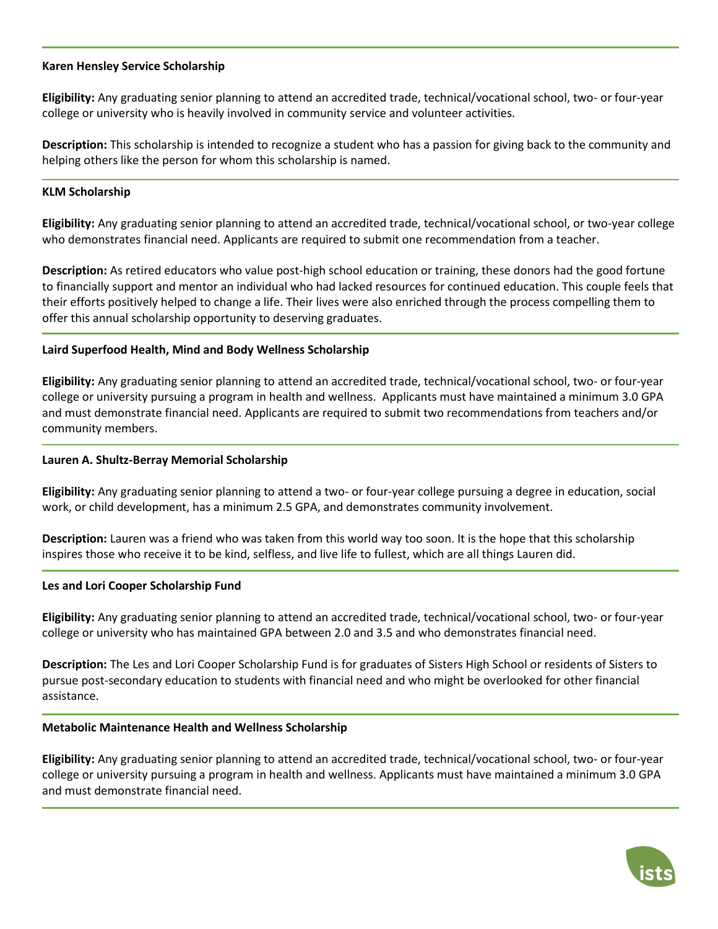## **Karen Hensley Service Scholarship**

**Eligibility:** Any graduating senior planning to attend an accredited trade, technical/vocational school, two- or four-year college or university who is heavily involved in community service and volunteer activities.

**Description:** This scholarship is intended to recognize a student who has a passion for giving back to the community and helping others like the person for whom this scholarship is named.

### **KLM Scholarship**

**Eligibility:** Any graduating senior planning to attend an accredited trade, technical/vocational school, or two-year college who demonstrates financial need. Applicants are required to submit one recommendation from a teacher.

**Description:** As retired educators who value post-high school education or training, these donors had the good fortune to financially support and mentor an individual who had lacked resources for continued education. This couple feels that their efforts positively helped to change a life. Their lives were also enriched through the process compelling them to offer this annual scholarship opportunity to deserving graduates.

### **Laird Superfood Health, Mind and Body Wellness Scholarship**

**Eligibility:** Any graduating senior planning to attend an accredited trade, technical/vocational school, two- or four-year college or university pursuing a program in health and wellness. Applicants must have maintained a minimum 3.0 GPA and must demonstrate financial need. Applicants are required to submit two recommendations from teachers and/or community members.

### **Lauren A. Shultz-Berray Memorial Scholarship**

**Eligibility:** Any graduating senior planning to attend a two- or four-year college pursuing a degree in education, social work, or child development, has a minimum 2.5 GPA, and demonstrates community involvement.

**Description:** Lauren was a friend who was taken from this world way too soon. It is the hope that this scholarship inspires those who receive it to be kind, selfless, and live life to fullest, which are all things Lauren did.

#### **Les and Lori Cooper Scholarship Fund**

**Eligibility:** Any graduating senior planning to attend an accredited trade, technical/vocational school, two- or four-year college or university who has maintained GPA between 2.0 and 3.5 and who demonstrates financial need.

**Description:** The Les and Lori Cooper Scholarship Fund is for graduates of Sisters High School or residents of Sisters to pursue post-secondary education to students with financial need and who might be overlooked for other financial assistance.

## **Metabolic Maintenance Health and Wellness Scholarship**

**Eligibility:** Any graduating senior planning to attend an accredited trade, technical/vocational school, two- or four-year college or university pursuing a program in health and wellness. Applicants must have maintained a minimum 3.0 GPA and must demonstrate financial need.

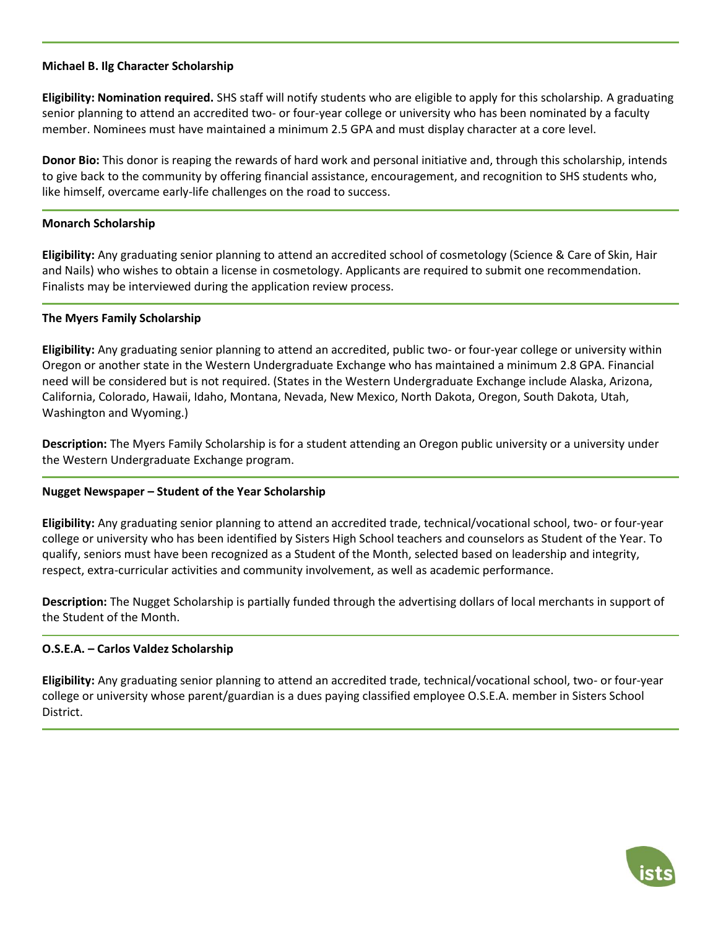## **Michael B. Ilg Character Scholarship**

**Eligibility: Nomination required.** SHS staff will notify students who are eligible to apply for this scholarship. A graduating senior planning to attend an accredited two- or four-year college or university who has been nominated by a faculty member. Nominees must have maintained a minimum 2.5 GPA and must display character at a core level.

**Donor Bio:** This donor is reaping the rewards of hard work and personal initiative and, through this scholarship, intends to give back to the community by offering financial assistance, encouragement, and recognition to SHS students who, like himself, overcame early-life challenges on the road to success.

# **Monarch Scholarship**

**Eligibility:** Any graduating senior planning to attend an accredited school of cosmetology (Science & Care of Skin, Hair and Nails) who wishes to obtain a license in cosmetology. Applicants are required to submit one recommendation. Finalists may be interviewed during the application review process.

## **The Myers Family Scholarship**

**Eligibility:** Any graduating senior planning to attend an accredited, public two- or four-year college or university within Oregon or another state in the Western Undergraduate Exchange who has maintained a minimum 2.8 GPA. Financial need will be considered but is not required. (States in the Western Undergraduate Exchange include Alaska, Arizona, California, Colorado, Hawaii, Idaho, Montana, Nevada, New Mexico, North Dakota, Oregon, South Dakota, Utah, Washington and Wyoming.)

**Description:** The Myers Family Scholarship is for a student attending an Oregon public university or a university under the Western Undergraduate Exchange program.

# **Nugget Newspaper – Student of the Year Scholarship**

**Eligibility:** Any graduating senior planning to attend an accredited trade, technical/vocational school, two- or four-year college or university who has been identified by Sisters High School teachers and counselors as Student of the Year. To qualify, seniors must have been recognized as a Student of the Month, selected based on leadership and integrity, respect, extra-curricular activities and community involvement, as well as academic performance.

**Description:** The Nugget Scholarship is partially funded through the advertising dollars of local merchants in support of the Student of the Month.

# **O.S.E.A. – Carlos Valdez Scholarship**

**Eligibility:** Any graduating senior planning to attend an accredited trade, technical/vocational school, two- or four-year college or university whose parent/guardian is a dues paying classified employee O.S.E.A. member in Sisters School District.

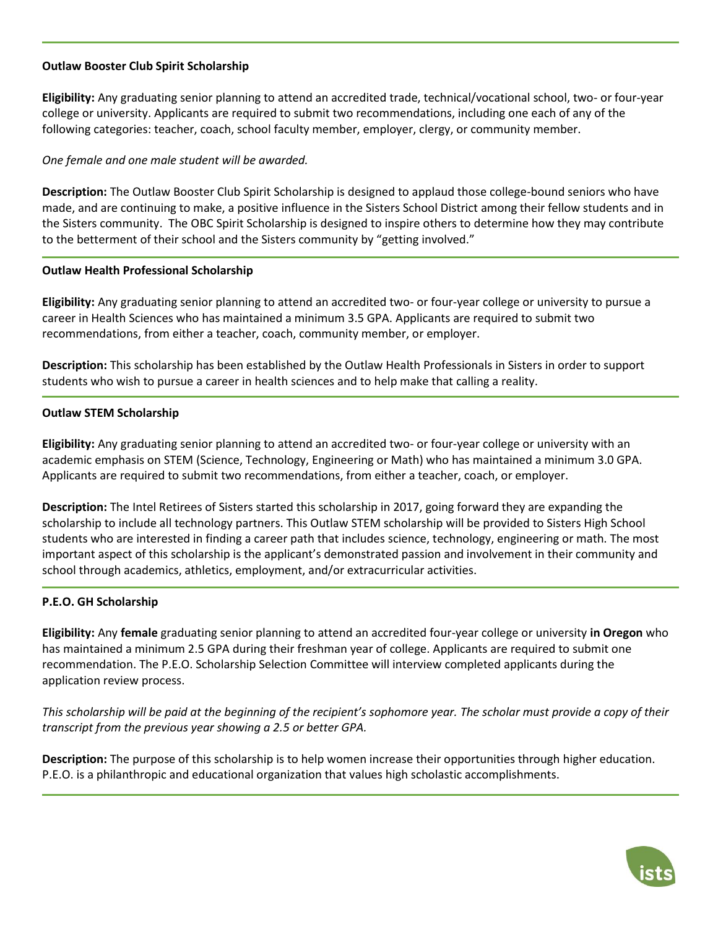# **Outlaw Booster Club Spirit Scholarship**

**Eligibility:** Any graduating senior planning to attend an accredited trade, technical/vocational school, two- or four-year college or university. Applicants are required to submit two recommendations, including one each of any of the following categories: teacher, coach, school faculty member, employer, clergy, or community member.

# *One female and one male student will be awarded.*

**Description:** The Outlaw Booster Club Spirit Scholarship is designed to applaud those college-bound seniors who have made, and are continuing to make, a positive influence in the Sisters School District among their fellow students and in the Sisters community. The OBC Spirit Scholarship is designed to inspire others to determine how they may contribute to the betterment of their school and the Sisters community by "getting involved."

## **Outlaw Health Professional Scholarship**

**Eligibility:** Any graduating senior planning to attend an accredited two- or four-year college or university to pursue a career in Health Sciences who has maintained a minimum 3.5 GPA. Applicants are required to submit two recommendations, from either a teacher, coach, community member, or employer.

**Description:** This scholarship has been established by the Outlaw Health Professionals in Sisters in order to support students who wish to pursue a career in health sciences and to help make that calling a reality.

# **Outlaw STEM Scholarship**

**Eligibility:** Any graduating senior planning to attend an accredited two- or four-year college or university with an academic emphasis on STEM (Science, Technology, Engineering or Math) who has maintained a minimum 3.0 GPA. Applicants are required to submit two recommendations, from either a teacher, coach, or employer.

**Description:** The Intel Retirees of Sisters started this scholarship in 2017, going forward they are expanding the scholarship to include all technology partners. This Outlaw STEM scholarship will be provided to Sisters High School students who are interested in finding a career path that includes science, technology, engineering or math. The most important aspect of this scholarship is the applicant's demonstrated passion and involvement in their community and school through academics, athletics, employment, and/or extracurricular activities.

## **P.E.O. GH Scholarship**

**Eligibility:** Any **female** graduating senior planning to attend an accredited four-year college or university **in Oregon** who has maintained a minimum 2.5 GPA during their freshman year of college. Applicants are required to submit one recommendation. The P.E.O. Scholarship Selection Committee will interview completed applicants during the application review process.

*This scholarship will be paid at the beginning of the recipient's sophomore year. The scholar must provide a copy of their transcript from the previous year showing a 2.5 or better GPA.*

**Description:** The purpose of this scholarship is to help women increase their opportunities through higher education. P.E.O. is a philanthropic and educational organization that values high scholastic accomplishments.

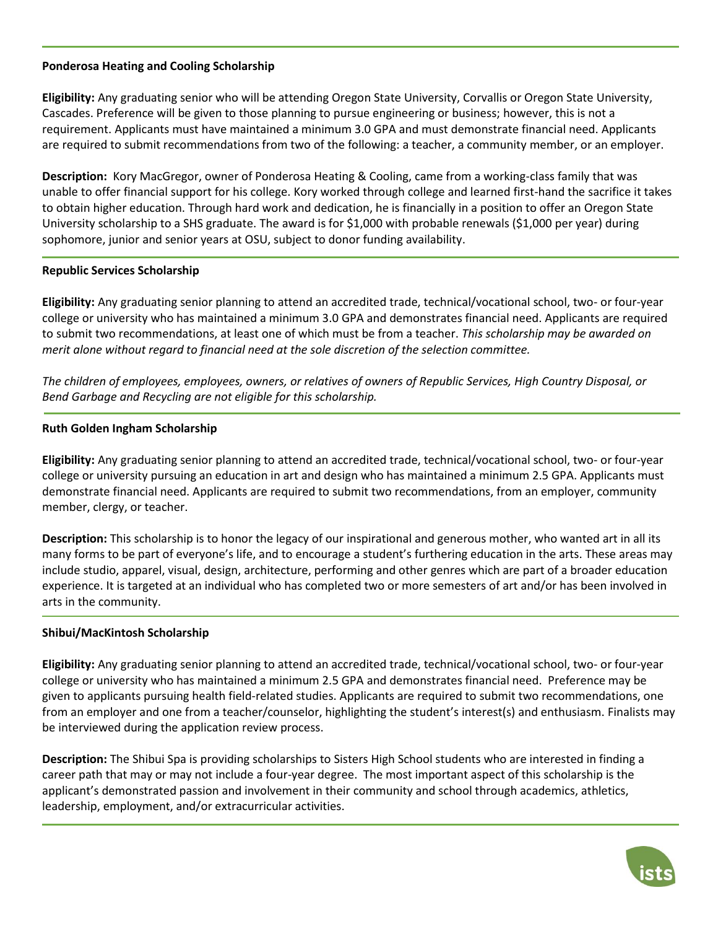# **Ponderosa Heating and Cooling Scholarship**

**Eligibility:** Any graduating senior who will be attending Oregon State University, Corvallis or Oregon State University, Cascades. Preference will be given to those planning to pursue engineering or business; however, this is not a requirement. Applicants must have maintained a minimum 3.0 GPA and must demonstrate financial need. Applicants are required to submit recommendations from two of the following: a teacher, a community member, or an employer.

**Description:** Kory MacGregor, owner of Ponderosa Heating & Cooling, came from a working-class family that was unable to offer financial support for his college. Kory worked through college and learned first-hand the sacrifice it takes to obtain higher education. Through hard work and dedication, he is financially in a position to offer an Oregon State University scholarship to a SHS graduate. The award is for \$1,000 with probable renewals (\$1,000 per year) during sophomore, junior and senior years at OSU, subject to donor funding availability.

# **Republic Services Scholarship**

**Eligibility:** Any graduating senior planning to attend an accredited trade, technical/vocational school, two- or four-year college or university who has maintained a minimum 3.0 GPA and demonstrates financial need. Applicants are required to submit two recommendations, at least one of which must be from a teacher. *This scholarship may be awarded on merit alone without regard to financial need at the sole discretion of the selection committee.*

*The children of employees, employees, owners, or relatives of owners of Republic Services, High Country Disposal, or Bend Garbage and Recycling are not eligible for this scholarship.*

# **Ruth Golden Ingham Scholarship**

**Eligibility:** Any graduating senior planning to attend an accredited trade, technical/vocational school, two- or four-year college or university pursuing an education in art and design who has maintained a minimum 2.5 GPA. Applicants must demonstrate financial need. Applicants are required to submit two recommendations, from an employer, community member, clergy, or teacher.

**Description:** This scholarship is to honor the legacy of our inspirational and generous mother, who wanted art in all its many forms to be part of everyone's life, and to encourage a student's furthering education in the arts. These areas may include studio, apparel, visual, design, architecture, performing and other genres which are part of a broader education experience. It is targeted at an individual who has completed two or more semesters of art and/or has been involved in arts in the community.

## **Shibui/MacKintosh Scholarship**

**Eligibility:** Any graduating senior planning to attend an accredited trade, technical/vocational school, two- or four-year college or university who has maintained a minimum 2.5 GPA and demonstrates financial need. Preference may be given to applicants pursuing health field-related studies. Applicants are required to submit two recommendations, one from an employer and one from a teacher/counselor, highlighting the student's interest(s) and enthusiasm. Finalists may be interviewed during the application review process.

**Description:** The Shibui Spa is providing scholarships to Sisters High School students who are interested in finding a career path that may or may not include a four-year degree. The most important aspect of this scholarship is the applicant's demonstrated passion and involvement in their community and school through academics, athletics, leadership, employment, and/or extracurricular activities.

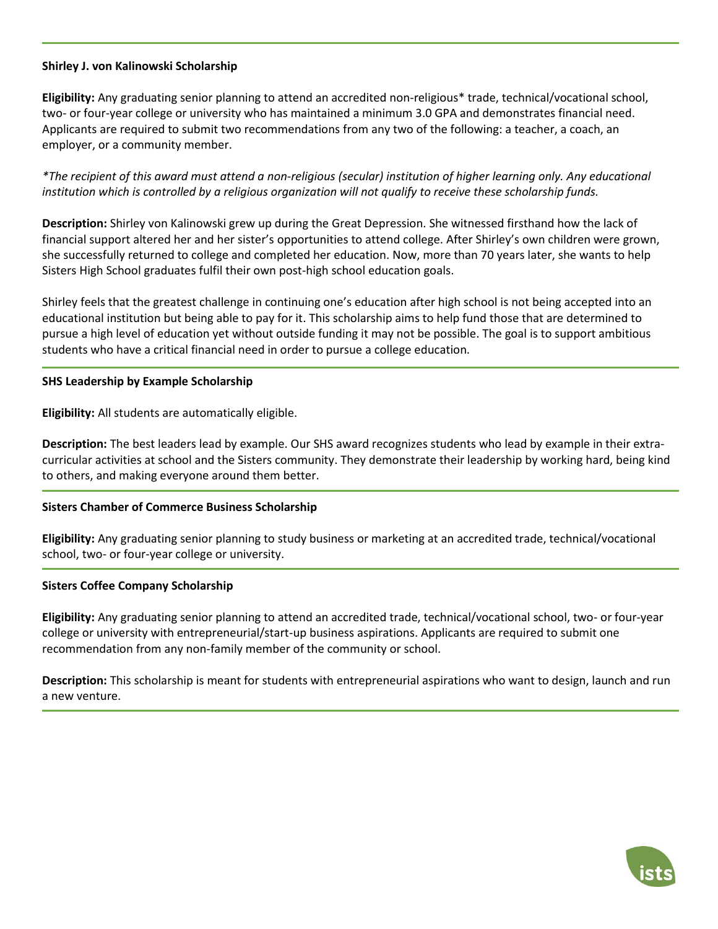## **Shirley J. von Kalinowski Scholarship**

**Eligibility:** Any graduating senior planning to attend an accredited non-religious\* trade, technical/vocational school, two- or four-year college or university who has maintained a minimum 3.0 GPA and demonstrates financial need. Applicants are required to submit two recommendations from any two of the following: a teacher, a coach, an employer, or a community member.

*\*The recipient of this award must attend a non-religious (secular) institution of higher learning only. Any educational institution which is controlled by a religious organization will not qualify to receive these scholarship funds.*

**Description:** Shirley von Kalinowski grew up during the Great Depression. She witnessed firsthand how the lack of financial support altered her and her sister's opportunities to attend college. After Shirley's own children were grown, she successfully returned to college and completed her education. Now, more than 70 years later, she wants to help Sisters High School graduates fulfil their own post-high school education goals.

Shirley feels that the greatest challenge in continuing one's education after high school is not being accepted into an educational institution but being able to pay for it. This scholarship aims to help fund those that are determined to pursue a high level of education yet without outside funding it may not be possible. The goal is to support ambitious students who have a critical financial need in order to pursue a college education.

## **SHS Leadership by Example Scholarship**

**Eligibility:** All students are automatically eligible.

**Description:** The best leaders lead by example. Our SHS award recognizes students who lead by example in their extracurricular activities at school and the Sisters community. They demonstrate their leadership by working hard, being kind to others, and making everyone around them better.

## **Sisters Chamber of Commerce Business Scholarship**

**Eligibility:** Any graduating senior planning to study business or marketing at an accredited trade, technical/vocational school, two- or four-year college or university.

## **Sisters Coffee Company Scholarship**

**Eligibility:** Any graduating senior planning to attend an accredited trade, technical/vocational school, two- or four-year college or university with entrepreneurial/start-up business aspirations. Applicants are required to submit one recommendation from any non-family member of the community or school.

**Description:** This scholarship is meant for students with entrepreneurial aspirations who want to design, launch and run a new venture.

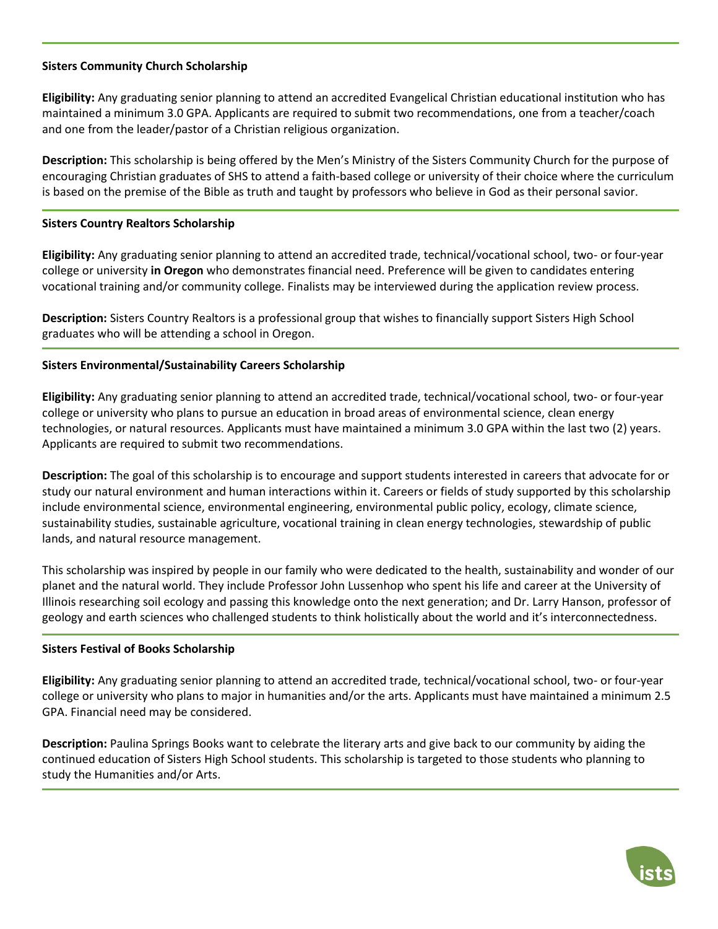# **Sisters Community Church Scholarship**

**Eligibility:** Any graduating senior planning to attend an accredited Evangelical Christian educational institution who has maintained a minimum 3.0 GPA. Applicants are required to submit two recommendations, one from a teacher/coach and one from the leader/pastor of a Christian religious organization.

**Description:** This scholarship is being offered by the Men's Ministry of the Sisters Community Church for the purpose of encouraging Christian graduates of SHS to attend a faith-based college or university of their choice where the curriculum is based on the premise of the Bible as truth and taught by professors who believe in God as their personal savior.

# **Sisters Country Realtors Scholarship**

**Eligibility:** Any graduating senior planning to attend an accredited trade, technical/vocational school, two- or four-year college or university **in Oregon** who demonstrates financial need. Preference will be given to candidates entering vocational training and/or community college. Finalists may be interviewed during the application review process.

**Description:** Sisters Country Realtors is a professional group that wishes to financially support Sisters High School graduates who will be attending a school in Oregon.

# **Sisters Environmental/Sustainability Careers Scholarship**

**Eligibility:** Any graduating senior planning to attend an accredited trade, technical/vocational school, two- or four-year college or university who plans to pursue an education in broad areas of environmental science, clean energy technologies, or natural resources. Applicants must have maintained a minimum 3.0 GPA within the last two (2) years. Applicants are required to submit two recommendations.

**Description:** The goal of this scholarship is to encourage and support students interested in careers that advocate for or study our natural environment and human interactions within it. Careers or fields of study supported by this scholarship include environmental science, environmental engineering, environmental public policy, ecology, climate science, sustainability studies, sustainable agriculture, vocational training in clean energy technologies, stewardship of public lands, and natural resource management.

This scholarship was inspired by people in our family who were dedicated to the health, sustainability and wonder of our planet and the natural world. They include Professor John Lussenhop who spent his life and career at the University of Illinois researching soil ecology and passing this knowledge onto the next generation; and Dr. Larry Hanson, professor of geology and earth sciences who challenged students to think holistically about the world and it's interconnectedness.

## **Sisters Festival of Books Scholarship**

**Eligibility:** Any graduating senior planning to attend an accredited trade, technical/vocational school, two- or four-year college or university who plans to major in humanities and/or the arts. Applicants must have maintained a minimum 2.5 GPA. Financial need may be considered.

**Description:** Paulina Springs Books want to celebrate the literary arts and give back to our community by aiding the continued education of Sisters High School students. This scholarship is targeted to those students who planning to study the Humanities and/or Arts.

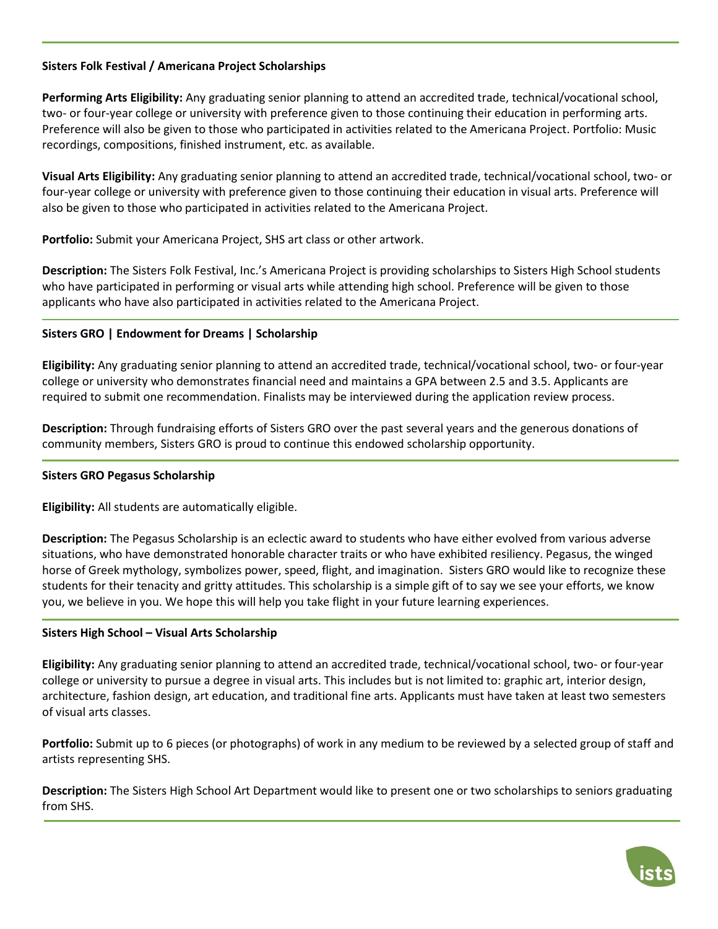# **Sisters Folk Festival / Americana Project Scholarships**

**Performing Arts Eligibility:** Any graduating senior planning to attend an accredited trade, technical/vocational school, two- or four-year college or university with preference given to those continuing their education in performing arts. Preference will also be given to those who participated in activities related to the Americana Project. Portfolio: Music recordings, compositions, finished instrument, etc. as available.

**Visual Arts Eligibility:** Any graduating senior planning to attend an accredited trade, technical/vocational school, two- or four-year college or university with preference given to those continuing their education in visual arts. Preference will also be given to those who participated in activities related to the Americana Project.

**Portfolio:** Submit your Americana Project, SHS art class or other artwork.

**Description:** The Sisters Folk Festival, Inc.'s Americana Project is providing scholarships to Sisters High School students who have participated in performing or visual arts while attending high school. Preference will be given to those applicants who have also participated in activities related to the Americana Project.

# **Sisters GRO | Endowment for Dreams | Scholarship**

**Eligibility:** Any graduating senior planning to attend an accredited trade, technical/vocational school, two- or four-year college or university who demonstrates financial need and maintains a GPA between 2.5 and 3.5. Applicants are required to submit one recommendation. Finalists may be interviewed during the application review process.

**Description:** Through fundraising efforts of Sisters GRO over the past several years and the generous donations of community members, Sisters GRO is proud to continue this endowed scholarship opportunity.

## **Sisters GRO Pegasus Scholarship**

**Eligibility:** All students are automatically eligible.

**Description:** The Pegasus Scholarship is an eclectic award to students who have either evolved from various adverse situations, who have demonstrated honorable character traits or who have exhibited resiliency. Pegasus, the winged horse of Greek mythology, symbolizes power, speed, flight, and imagination. Sisters GRO would like to recognize these students for their tenacity and gritty attitudes. This scholarship is a simple gift of to say we see your efforts, we know you, we believe in you. We hope this will help you take flight in your future learning experiences.

## **Sisters High School – Visual Arts Scholarship**

**Eligibility:** Any graduating senior planning to attend an accredited trade, technical/vocational school, two- or four-year college or university to pursue a degree in visual arts. This includes but is not limited to: graphic art, interior design, architecture, fashion design, art education, and traditional fine arts. Applicants must have taken at least two semesters of visual arts classes.

**Portfolio:** Submit up to 6 pieces (or photographs) of work in any medium to be reviewed by a selected group of staff and artists representing SHS.

**Description:** The Sisters High School Art Department would like to present one or two scholarships to seniors graduating from SHS.

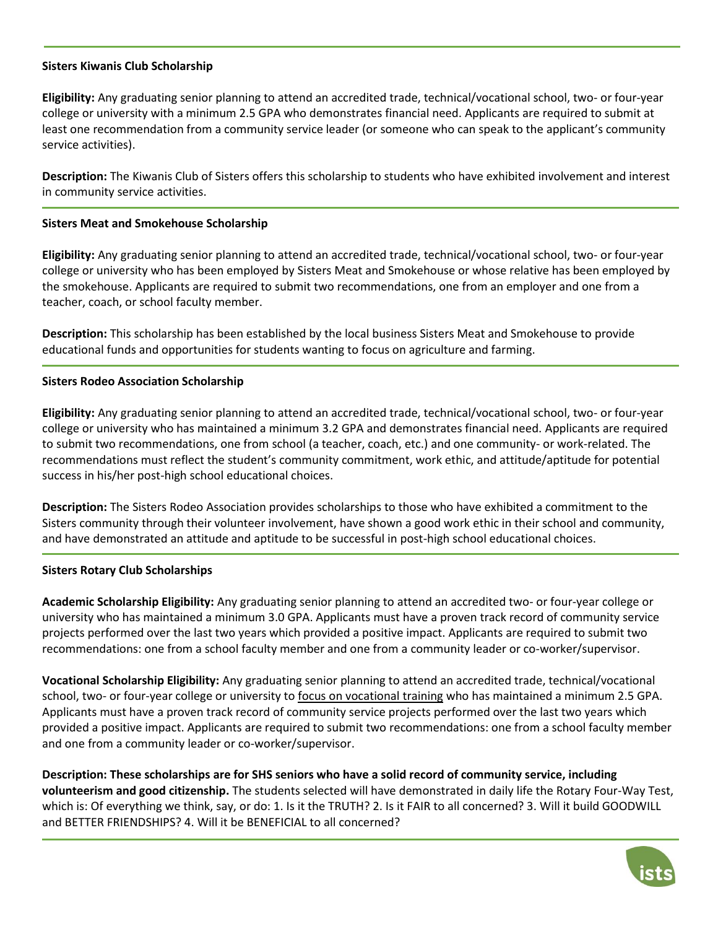## **Sisters Kiwanis Club Scholarship**

**Eligibility:** Any graduating senior planning to attend an accredited trade, technical/vocational school, two- or four-year college or university with a minimum 2.5 GPA who demonstrates financial need. Applicants are required to submit at least one recommendation from a community service leader (or someone who can speak to the applicant's community service activities).

**Description:** The Kiwanis Club of Sisters offers this scholarship to students who have exhibited involvement and interest in community service activities.

### **Sisters Meat and Smokehouse Scholarship**

**Eligibility:** Any graduating senior planning to attend an accredited trade, technical/vocational school, two- or four-year college or university who has been employed by Sisters Meat and Smokehouse or whose relative has been employed by the smokehouse. Applicants are required to submit two recommendations, one from an employer and one from a teacher, coach, or school faculty member.

**Description:** This scholarship has been established by the local business Sisters Meat and Smokehouse to provide educational funds and opportunities for students wanting to focus on agriculture and farming.

### **Sisters Rodeo Association Scholarship**

**Eligibility:** Any graduating senior planning to attend an accredited trade, technical/vocational school, two- or four-year college or university who has maintained a minimum 3.2 GPA and demonstrates financial need. Applicants are required to submit two recommendations, one from school (a teacher, coach, etc.) and one community- or work-related. The recommendations must reflect the student's community commitment, work ethic, and attitude/aptitude for potential success in his/her post-high school educational choices.

**Description:** The Sisters Rodeo Association provides scholarships to those who have exhibited a commitment to the Sisters community through their volunteer involvement, have shown a good work ethic in their school and community, and have demonstrated an attitude and aptitude to be successful in post-high school educational choices.

#### **Sisters Rotary Club Scholarships**

**Academic Scholarship Eligibility:** Any graduating senior planning to attend an accredited two- or four-year college or university who has maintained a minimum 3.0 GPA. Applicants must have a proven track record of community service projects performed over the last two years which provided a positive impact. Applicants are required to submit two recommendations: one from a school faculty member and one from a community leader or co-worker/supervisor.

**Vocational Scholarship Eligibility:** Any graduating senior planning to attend an accredited trade, technical/vocational school, two- or four-year college or university to focus on vocational training who has maintained a minimum 2.5 GPA. Applicants must have a proven track record of community service projects performed over the last two years which provided a positive impact. Applicants are required to submit two recommendations: one from a school faculty member and one from a community leader or co-worker/supervisor.

**Description: These scholarships are for SHS seniors who have a solid record of community service, including volunteerism and good citizenship.** The students selected will have demonstrated in daily life the Rotary Four-Way Test, which is: Of everything we think, say, or do: 1. Is it the TRUTH? 2. Is it FAIR to all concerned? 3. Will it build GOODWILL and BETTER FRIENDSHIPS? 4. Will it be BENEFICIAL to all concerned?

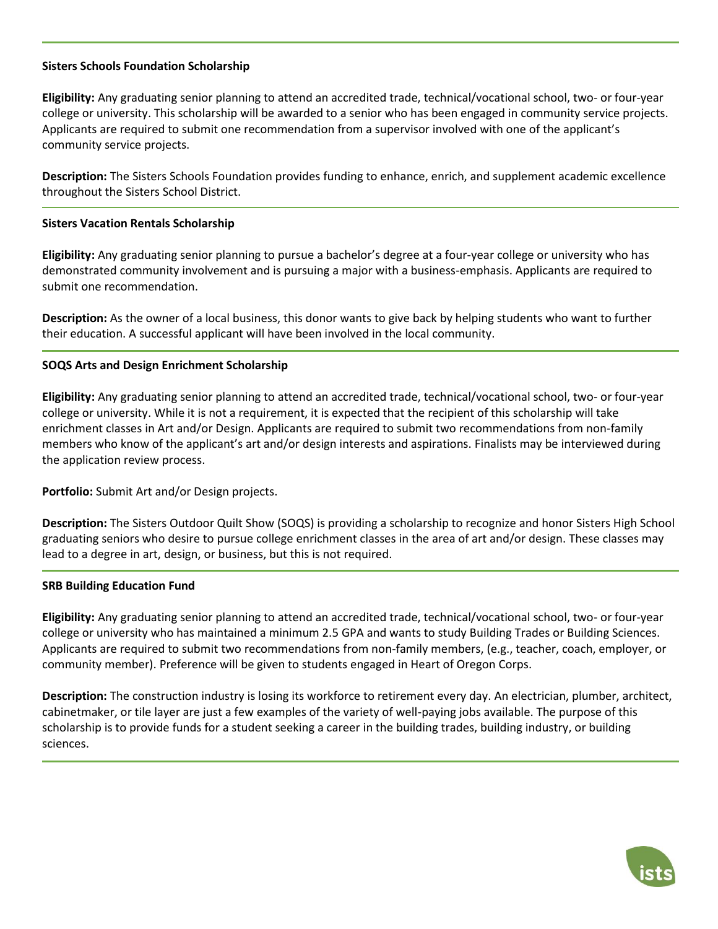## **Sisters Schools Foundation Scholarship**

**Eligibility:** Any graduating senior planning to attend an accredited trade, technical/vocational school, two- or four-year college or university. This scholarship will be awarded to a senior who has been engaged in community service projects. Applicants are required to submit one recommendation from a supervisor involved with one of the applicant's community service projects.

**Description:** The Sisters Schools Foundation provides funding to enhance, enrich, and supplement academic excellence throughout the Sisters School District.

### **Sisters Vacation Rentals Scholarship**

**Eligibility:** Any graduating senior planning to pursue a bachelor's degree at a four-year college or university who has demonstrated community involvement and is pursuing a major with a business-emphasis. Applicants are required to submit one recommendation.

**Description:** As the owner of a local business, this donor wants to give back by helping students who want to further their education. A successful applicant will have been involved in the local community.

## **SOQS Arts and Design Enrichment Scholarship**

**Eligibility:** Any graduating senior planning to attend an accredited trade, technical/vocational school, two- or four-year college or university. While it is not a requirement, it is expected that the recipient of this scholarship will take enrichment classes in Art and/or Design. Applicants are required to submit two recommendations from non-family members who know of the applicant's art and/or design interests and aspirations. Finalists may be interviewed during the application review process.

**Portfolio:** Submit Art and/or Design projects.

**Description:** The Sisters Outdoor Quilt Show (SOQS) is providing a scholarship to recognize and honor Sisters High School graduating seniors who desire to pursue college enrichment classes in the area of art and/or design. These classes may lead to a degree in art, design, or business, but this is not required.

#### **SRB Building Education Fund**

**Eligibility:** Any graduating senior planning to attend an accredited trade, technical/vocational school, two- or four-year college or university who has maintained a minimum 2.5 GPA and wants to study Building Trades or Building Sciences. Applicants are required to submit two recommendations from non-family members, (e.g., teacher, coach, employer, or community member). Preference will be given to students engaged in Heart of Oregon Corps.

**Description:** The construction industry is losing its workforce to retirement every day. An electrician, plumber, architect, cabinetmaker, or tile layer are just a few examples of the variety of well-paying jobs available. The purpose of this scholarship is to provide funds for a student seeking a career in the building trades, building industry, or building sciences.

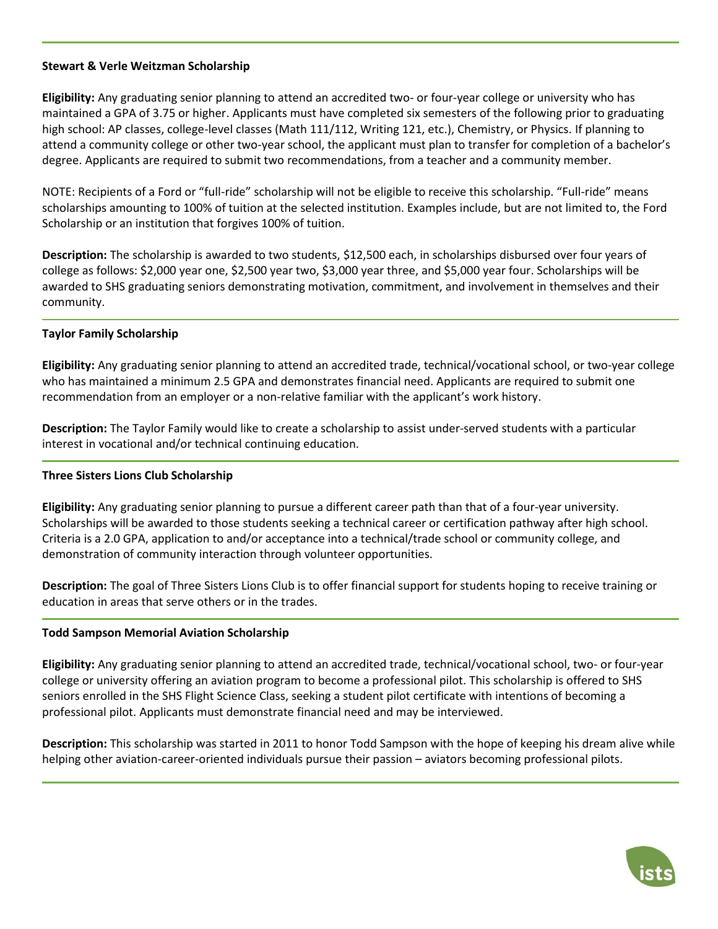## **Stewart & Verle Weitzman Scholarship**

**Eligibility:** Any graduating senior planning to attend an accredited two- or four-year college or university who has maintained a GPA of 3.75 or higher. Applicants must have completed six semesters of the following prior to graduating high school: AP classes, college-level classes (Math 111/112, Writing 121, etc.), Chemistry, or Physics. If planning to attend a community college or other two-year school, the applicant must plan to transfer for completion of a bachelor's degree. Applicants are required to submit two recommendations, from a teacher and a community member.

NOTE: Recipients of a Ford or "full-ride" scholarship will not be eligible to receive this scholarship. "Full-ride" means scholarships amounting to 100% of tuition at the selected institution. Examples include, but are not limited to, the Ford Scholarship or an institution that forgives 100% of tuition.

**Description:** The scholarship is awarded to two students, \$12,500 each, in scholarships disbursed over four years of college as follows: \$2,000 year one, \$2,500 year two, \$3,000 year three, and \$5,000 year four. Scholarships will be awarded to SHS graduating seniors demonstrating motivation, commitment, and involvement in themselves and their community.

# **Taylor Family Scholarship**

**Eligibility:** Any graduating senior planning to attend an accredited trade, technical/vocational school, or two-year college who has maintained a minimum 2.5 GPA and demonstrates financial need. Applicants are required to submit one recommendation from an employer or a non-relative familiar with the applicant's work history.

**Description:** The Taylor Family would like to create a scholarship to assist under-served students with a particular interest in vocational and/or technical continuing education.

## **Three Sisters Lions Club Scholarship**

**Eligibility:** Any graduating senior planning to pursue a different career path than that of a four-year university. Scholarships will be awarded to those students seeking a technical career or certification pathway after high school. Criteria is a 2.0 GPA, application to and/or acceptance into a technical/trade school or community college, and demonstration of community interaction through volunteer opportunities.

**Description:** The goal of Three Sisters Lions Club is to offer financial support for students hoping to receive training or education in areas that serve others or in the trades.

## **Todd Sampson Memorial Aviation Scholarship**

**Eligibility:** Any graduating senior planning to attend an accredited trade, technical/vocational school, two- or four-year college or university offering an aviation program to become a professional pilot. This scholarship is offered to SHS seniors enrolled in the SHS Flight Science Class, seeking a student pilot certificate with intentions of becoming a professional pilot. Applicants must demonstrate financial need and may be interviewed.

**Description:** This scholarship was started in 2011 to honor Todd Sampson with the hope of keeping his dream alive while helping other aviation-career-oriented individuals pursue their passion – aviators becoming professional pilots.